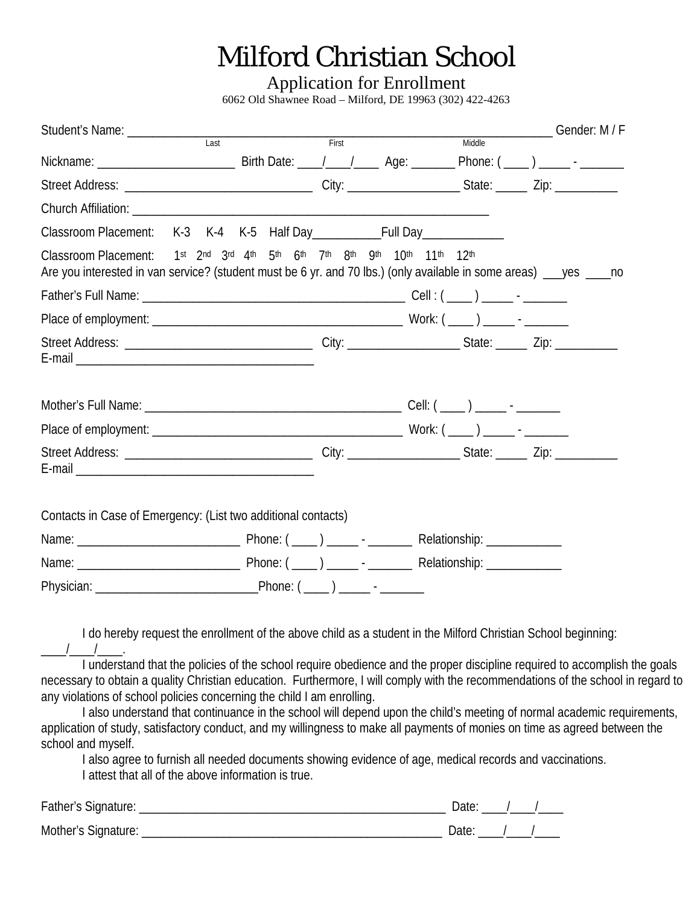## Milford Christian School

Application for Enrollment

6062 Old Shawnee Road – Milford, DE 19963 (302) 422-4263

|                                                                                                                                                                                               | $\overline{Last}$ | First |  | Middle | ______________Gender: M / F |  |
|-----------------------------------------------------------------------------------------------------------------------------------------------------------------------------------------------|-------------------|-------|--|--------|-----------------------------|--|
|                                                                                                                                                                                               |                   |       |  |        |                             |  |
|                                                                                                                                                                                               |                   |       |  |        |                             |  |
|                                                                                                                                                                                               |                   |       |  |        |                             |  |
|                                                                                                                                                                                               |                   |       |  |        |                             |  |
| Classroom Placement: 1st 2nd 3rd 4th 5th 6th 7th 8th 9th 10th 11th 12th<br>Are you interested in van service? (student must be 6 yr. and 70 lbs.) (only available in some areas) __yes ____no |                   |       |  |        |                             |  |
|                                                                                                                                                                                               |                   |       |  |        |                             |  |
|                                                                                                                                                                                               |                   |       |  |        |                             |  |
|                                                                                                                                                                                               |                   |       |  |        |                             |  |
|                                                                                                                                                                                               |                   |       |  |        |                             |  |
|                                                                                                                                                                                               |                   |       |  |        |                             |  |
|                                                                                                                                                                                               |                   |       |  |        |                             |  |
| Contacts in Case of Emergency: (List two additional contacts)                                                                                                                                 |                   |       |  |        |                             |  |
|                                                                                                                                                                                               |                   |       |  |        |                             |  |
|                                                                                                                                                                                               |                   |       |  |        |                             |  |
|                                                                                                                                                                                               |                   |       |  |        |                             |  |

I also understand that continuance in the school will depend upon the child's meeting of normal academic requirements, application of study, satisfactory conduct, and my willingness to make all payments of monies on time as agreed between the school and myself.

I also agree to furnish all needed documents showing evidence of age, medical records and vaccinations. I attest that all of the above information is true.

| Father's Signature: | Date: |  |
|---------------------|-------|--|
| Mother's Signature: | `ate: |  |